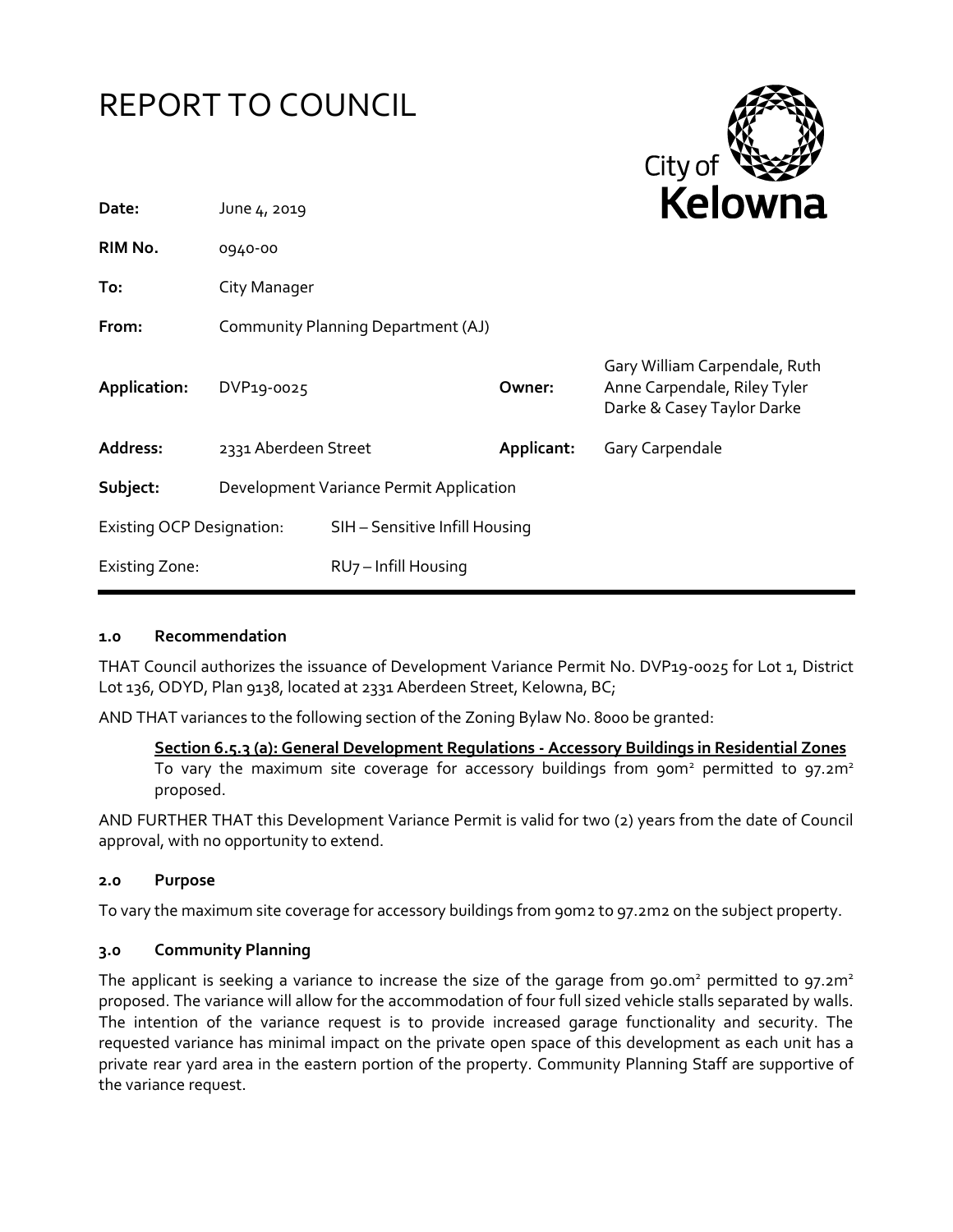# REPORT TO COUNCIL



| Date:                            | June 4, 2019                            |                                | <b>NEIUWII</b> d |                                                                                             |
|----------------------------------|-----------------------------------------|--------------------------------|------------------|---------------------------------------------------------------------------------------------|
| RIM No.                          | 0940-00                                 |                                |                  |                                                                                             |
| To:                              | City Manager                            |                                |                  |                                                                                             |
| From:                            | Community Planning Department (AJ)      |                                |                  |                                                                                             |
| Application:                     | DVP19-0025                              |                                | Owner:           | Gary William Carpendale, Ruth<br>Anne Carpendale, Riley Tyler<br>Darke & Casey Taylor Darke |
| Address:                         | 2331 Aberdeen Street                    |                                | Applicant:       | Gary Carpendale                                                                             |
| Subject:                         | Development Variance Permit Application |                                |                  |                                                                                             |
| <b>Existing OCP Designation:</b> |                                         | SIH - Sensitive Infill Housing |                  |                                                                                             |
| <b>Existing Zone:</b>            |                                         | RU7-Infill Housing             |                  |                                                                                             |

## **1.0 Recommendation**

THAT Council authorizes the issuance of Development Variance Permit No. DVP19-0025 for Lot 1, District Lot 136, ODYD, Plan 9138, located at 2331 Aberdeen Street, Kelowna, BC;

AND THAT variances to the following section of the Zoning Bylaw No. 8000 be granted:

**Section 6.5.3 (a): General Development Regulations - Accessory Buildings in Residential Zones**

To vary the maximum site coverage for accessory buildings from  $90m^2$  permitted to  $97.2m^2$ proposed.

AND FURTHER THAT this Development Variance Permit is valid for two (2) years from the date of Council approval, with no opportunity to extend.

## **2.0 Purpose**

To vary the maximum site coverage for accessory buildings from 90m2 to 97.2m2 on the subject property.

# **3.0 Community Planning**

The applicant is seeking a variance to increase the size of the garage from 90.0m<sup>2</sup> permitted to 97.2m<sup>2</sup> proposed. The variance will allow for the accommodation of four full sized vehicle stalls separated by walls. The intention of the variance request is to provide increased garage functionality and security. The requested variance has minimal impact on the private open space of this development as each unit has a private rear yard area in the eastern portion of the property. Community Planning Staff are supportive of the variance request.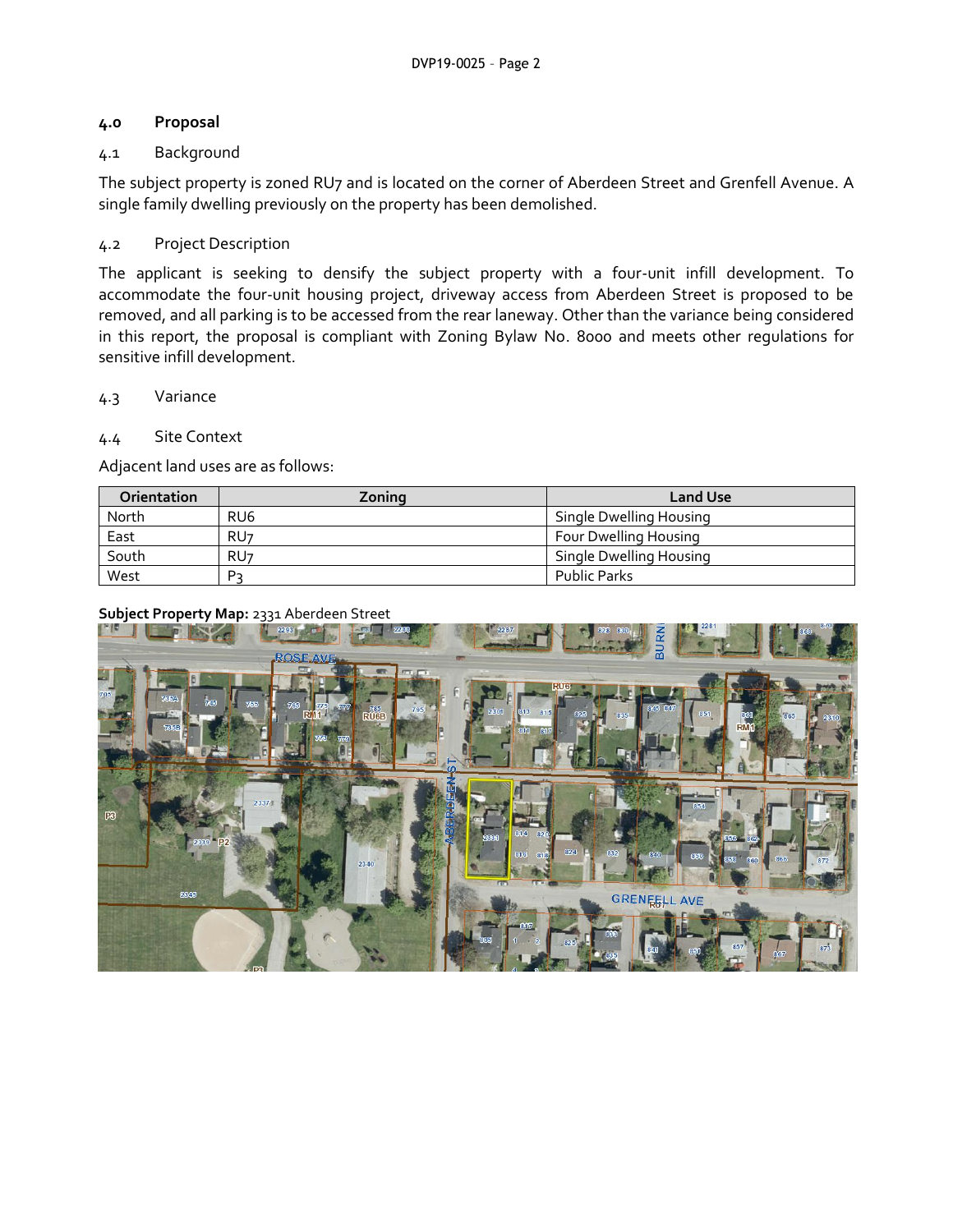## **4.0 Proposal**

# 4.1 Background

The subject property is zoned RU7 and is located on the corner of Aberdeen Street and Grenfell Avenue. A single family dwelling previously on the property has been demolished.

# 4.2 Project Description

The applicant is seeking to densify the subject property with a four-unit infill development. To accommodate the four-unit housing project, driveway access from Aberdeen Street is proposed to be removed, and all parking is to be accessed from the rear laneway. Other than the variance being considered in this report, the proposal is compliant with Zoning Bylaw No. 8000 and meets other regulations for sensitive infill development.

# 4.3 Variance

# 4.4 Site Context

Adjacent land uses are as follows:

| <b>Orientation</b> | Zoning          | Land Use                |
|--------------------|-----------------|-------------------------|
| North              | RU <sub>6</sub> | Single Dwelling Housing |
| East               | RU <sub>7</sub> | Four Dwelling Housing   |
| South              | RU <sub>7</sub> | Single Dwelling Housing |
| West               | P-              | <b>Public Parks</b>     |

# **Subject Property Map:** 2331 Aberdeen Street